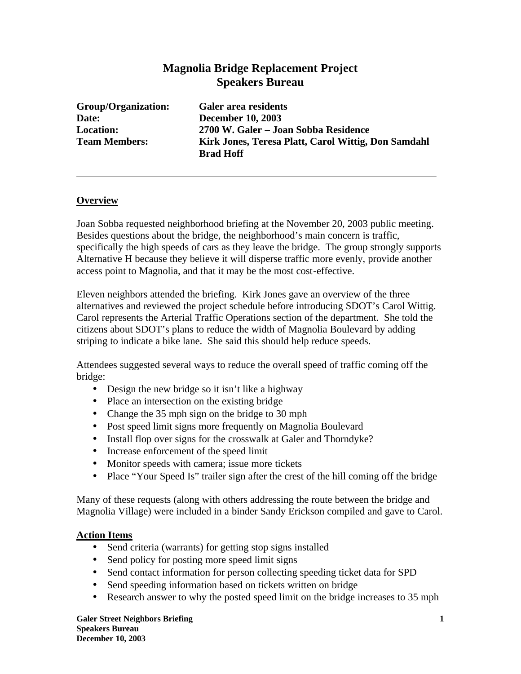# **Magnolia Bridge Replacement Project Speakers Bureau**

**Group/Organization: Galer area residents Date: December 10, 2003**

**Location: 2700 W. Galer – Joan Sobba Residence Team Members: Kirk Jones, Teresa Platt, Carol Wittig, Don Samdahl Brad Hoff**

### **Overview**

Joan Sobba requested neighborhood briefing at the November 20, 2003 public meeting. Besides questions about the bridge, the neighborhood's main concern is traffic, specifically the high speeds of cars as they leave the bridge. The group strongly supports Alternative H because they believe it will disperse traffic more evenly, provide another access point to Magnolia, and that it may be the most cost-effective.

Eleven neighbors attended the briefing. Kirk Jones gave an overview of the three alternatives and reviewed the project schedule before introducing SDOT's Carol Wittig. Carol represents the Arterial Traffic Operations section of the department. She told the citizens about SDOT's plans to reduce the width of Magnolia Boulevard by adding striping to indicate a bike lane. She said this should help reduce speeds.

Attendees suggested several ways to reduce the overall speed of traffic coming off the bridge:

- Design the new bridge so it isn't like a highway
- Place an intersection on the existing bridge
- Change the 35 mph sign on the bridge to 30 mph
- Post speed limit signs more frequently on Magnolia Boulevard
- Install flop over signs for the crosswalk at Galer and Thorndyke?
- Increase enforcement of the speed limit
- Monitor speeds with camera; issue more tickets
- Place "Your Speed Is" trailer sign after the crest of the hill coming off the bridge

Many of these requests (along with others addressing the route between the bridge and Magnolia Village) were included in a binder Sandy Erickson compiled and gave to Carol.

#### **Action Items**

- Send criteria (warrants) for getting stop signs installed
- Send policy for posting more speed limit signs
- Send contact information for person collecting speeding ticket data for SPD
- Send speeding information based on tickets written on bridge
- Research answer to why the posted speed limit on the bridge increases to 35 mph

**Galer Street Neighbors Briefing 1 Speakers Bureau December 10, 2003**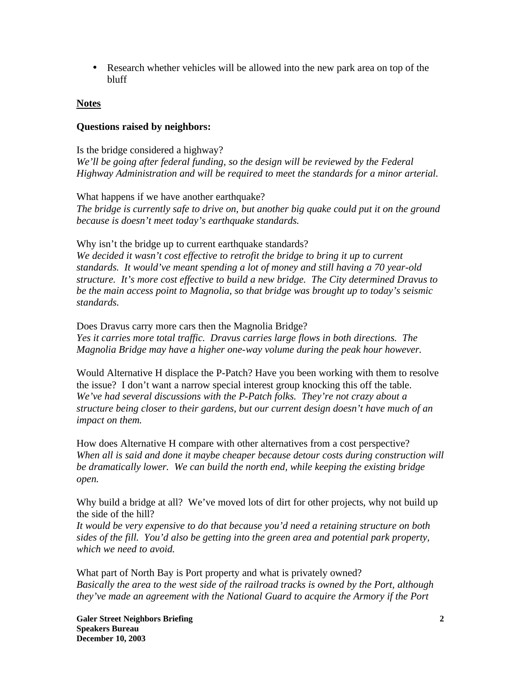• Research whether vehicles will be allowed into the new park area on top of the bluff

### **Notes**

#### **Questions raised by neighbors:**

Is the bridge considered a highway? We'll be going after federal funding, so the design will be reviewed by the Federal *Highway Administration and will be required to meet the standards for a minor arterial.*

What happens if we have another earthquake? *The bridge is currently safe to drive on, but another big quake could put it on the ground because is doesn't meet today's earthquake standards.*

Why isn't the bridge up to current earthquake standards?

*We decided it wasn't cost effective to retrofit the bridge to bring it up to current standards. It would've meant spending a lot of money and still having a 70 year-old structure. It's more cost effective to build a new bridge. The City determined Dravus to be the main access point to Magnolia, so that bridge was brought up to today's seismic standards.* 

Does Dravus carry more cars then the Magnolia Bridge? *Yes it carries more total traffic. Dravus carries large flows in both directions. The Magnolia Bridge may have a higher one-way volume during the peak hour however.*

Would Alternative H displace the P-Patch? Have you been working with them to resolve the issue? I don't want a narrow special interest group knocking this off the table. *We've had several discussions with the P-Patch folks. They're not crazy about a structure being closer to their gardens, but our current design doesn't have much of an impact on them.*

How does Alternative H compare with other alternatives from a cost perspective? *When all is said and done it maybe cheaper because detour costs during construction will be dramatically lower. We can build the north end, while keeping the existing bridge open.*

Why build a bridge at all? We've moved lots of dirt for other projects, why not build up the side of the hill?

*It would be very expensive to do that because you'd need a retaining structure on both sides of the fill. You'd also be getting into the green area and potential park property, which we need to avoid.*

What part of North Bay is Port property and what is privately owned? *Basically the area to the west side of the railroad tracks is owned by the Port, although they've made an agreement with the National Guard to acquire the Armory if the Port*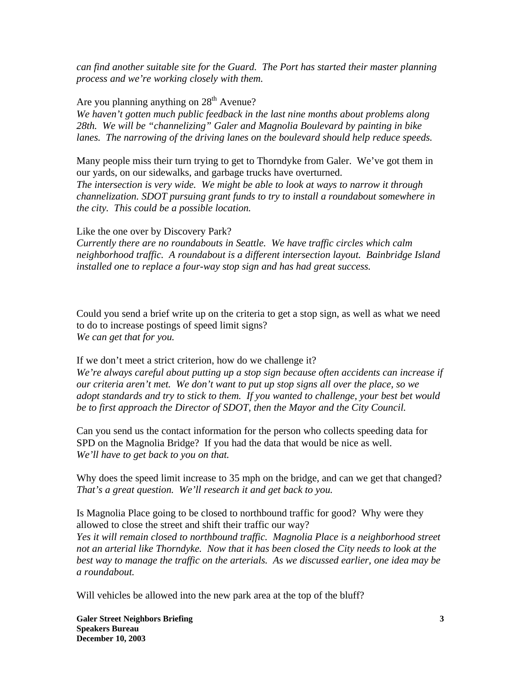*can find another suitable site for the Guard. The Port has started their master planning process and we're working closely with them.*

Are you planning anything on  $28<sup>th</sup>$  Avenue?

*We haven't gotten much public feedback in the last nine months about problems along 28th. We will be "channelizing" Galer and Magnolia Boulevard by painting in bike lanes. The narrowing of the driving lanes on the boulevard should help reduce speeds.* 

Many people miss their turn trying to get to Thorndyke from Galer. We've got them in our yards, on our sidewalks, and garbage trucks have overturned. *The intersection is very wide. We might be able to look at ways to narrow it through channelization. SDOT pursuing grant funds to try to install a roundabout somewhere in* 

*the city. This could be a possible location.*

Like the one over by Discovery Park? *Currently there are no roundabouts in Seattle. We have traffic circles which calm neighborhood traffic. A roundabout is a different intersection layout. Bainbridge Island installed one to replace a four-way stop sign and has had great success.*

Could you send a brief write up on the criteria to get a stop sign, as well as what we need to do to increase postings of speed limit signs? *We can get that for you.* 

If we don't meet a strict criterion, how do we challenge it? *We're always careful about putting up a stop sign because often accidents can increase if our criteria aren't met. We don't want to put up stop signs all over the place, so we adopt standards and try to stick to them. If you wanted to challenge, your best bet would be to first approach the Director of SDOT, then the Mayor and the City Council.*

Can you send us the contact information for the person who collects speeding data for SPD on the Magnolia Bridge? If you had the data that would be nice as well. *We'll have to get back to you on that.*

Why does the speed limit increase to 35 mph on the bridge, and can we get that changed? *That's a great question. We'll research it and get back to you.* 

Is Magnolia Place going to be closed to northbound traffic for good? Why were they allowed to close the street and shift their traffic our way? *Yes it will remain closed to northbound traffic. Magnolia Place is a neighborhood street not an arterial like Thorndyke. Now that it has been closed the City needs to look at the best way to manage the traffic on the arterials. As we discussed earlier, one idea may be a roundabout.* 

Will vehicles be allowed into the new park area at the top of the bluff?

**Galer Street Neighbors Briefing 3 Speakers Bureau December 10, 2003**